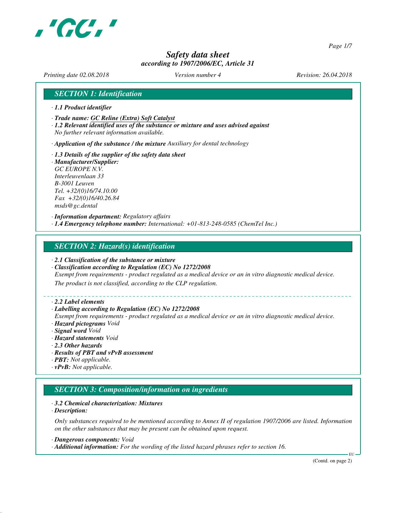

*Page 1/7*

# *Safety data sheet according to 1907/2006/EC, Article 31*

*Printing date 02.08.2018 Version number 4 Revision: 26.04.2018*

## *SECTION 1: Identification*

- *· 1.1 Product identifier*
- *· Trade name: GC Reline (Extra) Soft Catalyst*
- *· 1.2 Relevant identified uses of the substance or mixture and uses advised against No further relevant information available.*
- *· Application of the substance / the mixture Auxiliary for dental technology*
- *· 1.3 Details of the supplier of the safety data sheet · Manufacturer/Supplier: GC EUROPE N.V. Interleuvenlaan 33 B-3001 Leuven Tel. +32/(0)16/74.10.00 Fax +32/(0)16/40.26.84 msds@gc.dental*

*· Information department: Regulatory affairs · 1.4 Emergency telephone number: International: +01-813-248-0585 (ChemTel Inc.)*

## *SECTION 2: Hazard(s) identification*

- *· 2.1 Classification of the substance or mixture*
- *· Classification according to Regulation (EC) No 1272/2008*
- *Exempt from requirements product regulated as a medical device or an in vitro diagnostic medical device.*

*The product is not classified, according to the CLP regulation.*

#### *· 2.2 Label elements*

#### *· Labelling according to Regulation (EC) No 1272/2008*

- *Exempt from requirements product regulated as a medical device or an in vitro diagnostic medical device. · Hazard pictograms Void*
- *· Signal word Void*
- *· Hazard statements Void*
- *· 2.3 Other hazards*
- *· Results of PBT and vPvB assessment*
- *· PBT: Not applicable.*
- *· vPvB: Not applicable.*

# *SECTION 3: Composition/information on ingredients*

#### *· 3.2 Chemical characterization: Mixtures*

*· Description:*

*Only substances required to be mentioned according to Annex II of regulation 1907/2006 are listed. Information on the other substances that may be present can be obtained upon request.*

*· Dangerous components: Void*

*· Additional information: For the wording of the listed hazard phrases refer to section 16.*

(Contd. on page 2)

EU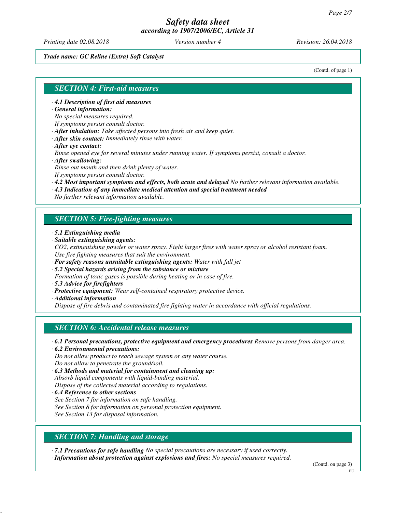*Printing date 02.08.2018 Version number 4 Revision: 26.04.2018*

#### *Trade name: GC Reline (Extra) Soft Catalyst*

(Contd. of page 1)

### *SECTION 4: First-aid measures*

- *· 4.1 Description of first aid measures*
- *· General information:*

*No special measures required.*

- *If symptoms persist consult doctor.*
- *· After inhalation: Take affected persons into fresh air and keep quiet.*
- *· After skin contact: Immediately rinse with water.*
- *· After eye contact:*

*Rinse opened eye for several minutes under running water. If symptoms persist, consult a doctor. · After swallowing:*

- *Rinse out mouth and then drink plenty of water.*
- *If symptoms persist consult doctor.*
- *· 4.2 Most important symptoms and effects, both acute and delayed No further relevant information available.*
- *· 4.3 Indication of any immediate medical attention and special treatment needed*

*No further relevant information available.*

## *SECTION 5: Fire-fighting measures*

- *· 5.1 Extinguishing media*
- *· Suitable extinguishing agents:*
- *CO2, extinguishing powder or water spray. Fight larger fires with water spray or alcohol resistant foam. Use fire fighting measures that suit the environment.*
- *· For safety reasons unsuitable extinguishing agents: Water with full jet*
- *· 5.2 Special hazards arising from the substance or mixture*
- *Formation of toxic gases is possible during heating or in case of fire.*
- *· 5.3 Advice for firefighters*
- *· Protective equipment: Wear self-contained respiratory protective device.*
- *· Additional information*

*Dispose of fire debris and contaminated fire fighting water in accordance with official regulations.*

# *SECTION 6: Accidental release measures*

- *· 6.1 Personal precautions, protective equipment and emergency procedures Remove persons from danger area. · 6.2 Environmental precautions:*
- *Do not allow product to reach sewage system or any water course. Do not allow to penetrate the ground/soil.*
- *· 6.3 Methods and material for containment and cleaning up: Absorb liquid components with liquid-binding material. Dispose of the collected material according to regulations.*
- *· 6.4 Reference to other sections See Section 7 for information on safe handling. See Section 8 for information on personal protection equipment. See Section 13 for disposal information.*
- *SECTION 7: Handling and storage*
- *· 7.1 Precautions for safe handling No special precautions are necessary if used correctly.*
- *· Information about protection against explosions and fires: No special measures required.*

(Contd. on page 3)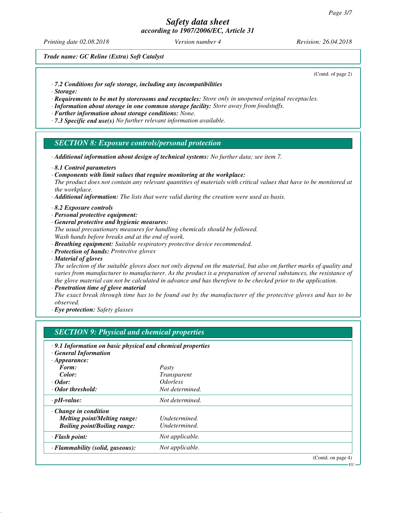*Printing date 02.08.2018 Version number 4 Revision: 26.04.2018*

*Trade name: GC Reline (Extra) Soft Catalyst*

(Contd. of page 2)

EU

- *· 7.2 Conditions for safe storage, including any incompatibilities*
- *· Storage:*
- *· Requirements to be met by storerooms and receptacles: Store only in unopened original receptacles.*
- *· Information about storage in one common storage facility: Store away from foodstuffs.*
- *· Further information about storage conditions: None.*
- *· 7.3 Specific end use(s) No further relevant information available.*

#### *SECTION 8: Exposure controls/personal protection*

- *· Additional information about design of technical systems: No further data; see item 7.*
- *· 8.1 Control parameters*
- *· Components with limit values that require monitoring at the workplace:*

*The product does not contain any relevant quantities of materials with critical values that have to be monitored at the workplace.*

- *· Additional information: The lists that were valid during the creation were used as basis.*
- *· 8.2 Exposure controls*
- *· Personal protective equipment:*
- *· General protective and hygienic measures:*
- *The usual precautionary measures for handling chemicals should be followed. Wash hands before breaks and at the end of work.*
- *· Breathing equipment: Suitable respiratory protective device recommended.*
- *· Protection of hands: Protective gloves*
- *· Material of gloves*

*The selection of the suitable gloves does not only depend on the material, but also on further marks of quality and varies from manufacturer to manufacturer. As the product is a preparation of several substances, the resistance of the glove material can not be calculated in advance and has therefore to be checked prior to the application.*

*· Penetration time of glove material*

*The exact break through time has to be found out by the manufacturer of the protective gloves and has to be observed.*

*· Eye protection: Safety glasses*

| $\cdot$ 9.1 Information on basic physical and chemical properties |                               |  |
|-------------------------------------------------------------------|-------------------------------|--|
| <b>General Information</b>                                        |                               |  |
| $\cdot$ Appearance:                                               |                               |  |
| Form:                                                             | Pasty                         |  |
| Color:                                                            | <i>Transparent</i>            |  |
| $\cdot$ Odor:                                                     | <i><u><b>Odorless</b></u></i> |  |
| • Odor threshold:                                                 | Not determined.               |  |
| $\cdot$ pH-value:                                                 | Not determined.               |  |
| $\cdot$ Change in condition                                       |                               |  |
| <b>Melting point/Melting range:</b>                               | Undetermined.                 |  |
| <b>Boiling point/Boiling range:</b>                               | Undetermined.                 |  |
| $\cdot$ Flash point:                                              | Not applicable.               |  |
| · Flammability (solid, gaseous):                                  | Not applicable.               |  |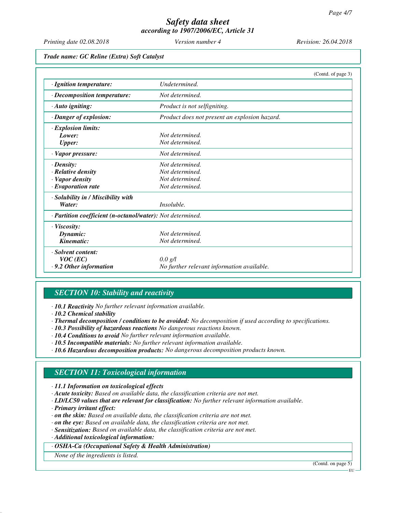*Printing date 02.08.2018 Version number 4 Revision: 26.04.2018*

*Trade name: GC Reline (Extra) Soft Catalyst*

|                                                            | (Contd. of page 3)                            |  |
|------------------------------------------------------------|-----------------------------------------------|--|
| · Ignition temperature:                                    | Undetermined.                                 |  |
| $\cdot$ Decomposition temperature:                         | Not determined.                               |  |
| $\cdot$ Auto igniting:                                     | Product is not selfigniting.                  |  |
| · Danger of explosion:                                     | Product does not present an explosion hazard. |  |
| $\cdot$ Explosion limits:                                  |                                               |  |
| Lower:                                                     | Not determined.                               |  |
| <b>Upper:</b>                                              | Not determined.                               |  |
| · Vapor pressure:                                          | Not determined.                               |  |
| $\cdot$ Density:                                           | Not determined.                               |  |
| · Relative density                                         | Not determined.                               |  |
| · Vapor density                                            | Not determined.                               |  |
| $\cdot$ Evaporation rate                                   | Not determined.                               |  |
| · Solubility in / Miscibility with                         |                                               |  |
| Water:                                                     | <i>Insoluble.</i>                             |  |
| · Partition coefficient (n-octanol/water): Not determined. |                                               |  |
| $\cdot$ Viscosity:                                         |                                               |  |
| Dynamic:                                                   | Not determined.                               |  |
| Kinematic:                                                 | Not determined.                               |  |
| · Solvent content:                                         |                                               |  |
| $VOC$ (EC)                                                 | $0.0 \text{ g/l}$                             |  |
| $\cdot$ 9.2 Other information                              | No further relevant information available.    |  |

# *SECTION 10: Stability and reactivity*

*· 10.1 Reactivity No further relevant information available.*

*· 10.2 Chemical stability*

*· Thermal decomposition / conditions to be avoided: No decomposition if used according to specifications.*

- *· 10.3 Possibility of hazardous reactions No dangerous reactions known.*
- *· 10.4 Conditions to avoid No further relevant information available.*
- *· 10.5 Incompatible materials: No further relevant information available.*
- *· 10.6 Hazardous decomposition products: No dangerous decomposition products known.*

# *SECTION 11: Toxicological information*

*· 11.1 Information on toxicological effects*

*· Acute toxicity: Based on available data, the classification criteria are not met.*

- *· LD/LC50 values that are relevant for classification: No further relevant information available.*
- *· Primary irritant effect:*

*· on the skin: Based on available data, the classification criteria are not met.*

- *· on the eye: Based on available data, the classification criteria are not met.*
- *· Sensitization: Based on available data, the classification criteria are not met.*

*· Additional toxicological information:*

*· OSHA-Ca (Occupational Safety & Health Administration)*

*None of the ingredients is listed.*

(Contd. on page 5)

EU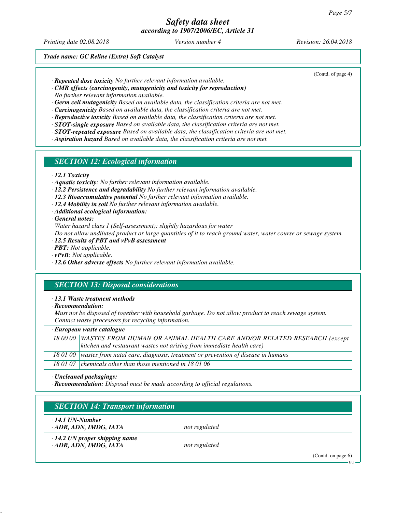*Printing date 02.08.2018 Version number 4 Revision: 26.04.2018*

(Contd. of page 4)

*Trade name: GC Reline (Extra) Soft Catalyst*

- *· Repeated dose toxicity No further relevant information available.*
- *· CMR effects (carcinogenity, mutagenicity and toxicity for reproduction)*

*No further relevant information available.*

- *· Germ cell mutagenicity Based on available data, the classification criteria are not met.*
- *· Carcinogenicity Based on available data, the classification criteria are not met.*
- *· Reproductive toxicity Based on available data, the classification criteria are not met.*
- *· STOT-single exposure Based on available data, the classification criteria are not met.*
- *· STOT-repeated exposure Based on available data, the classification criteria are not met.*
- *· Aspiration hazard Based on available data, the classification criteria are not met.*
- *SECTION 12: Ecological information*
- *· 12.1 Toxicity*
- *· Aquatic toxicity: No further relevant information available.*
- *· 12.2 Persistence and degradability No further relevant information available.*
- *· 12.3 Bioaccumulative potential No further relevant information available.*
- *· 12.4 Mobility in soil No further relevant information available.*
- *· Additional ecological information:*

*· General notes:*

*Water hazard class 1 (Self-assessment): slightly hazardous for water*

*Do not allow undiluted product or large quantities of it to reach ground water, water course or sewage system.*

- *· 12.5 Results of PBT and vPvB assessment*
- *· PBT: Not applicable.*
- *· vPvB: Not applicable.*
- *· 12.6 Other adverse effects No further relevant information available.*

# *SECTION 13: Disposal considerations*

#### *· 13.1 Waste treatment methods*

*· Recommendation:*

*Must not be disposed of together with household garbage. Do not allow product to reach sewage system. Contact waste processors for recycling information.*

*· European waste catalogue*

| 18 00 00 WASTES FROM HUMAN OR ANIMAL HEALTH CARE AND/OR RELATED RESEARCH (except<br>$\vert$ kitchen and restaurant wastes not arising from immediate health care) |
|-------------------------------------------------------------------------------------------------------------------------------------------------------------------|
| 18 01 00   wastes from natal care, diagnosis, treatment or prevention of disease in humans                                                                        |
| 18 01 07 chemicals other than those mentioned in 18 01 06                                                                                                         |

*· Uncleaned packagings:*

*· Recommendation: Disposal must be made according to official regulations.*

# *SECTION 14: Transport information*

*· 14.1 UN-Number*

*· ADR, ADN, IMDG, IATA not regulated*

*· 14.2 UN proper shipping name*

*· ADR, ADN, IMDG, IATA not regulated*

(Contd. on page 6)

EU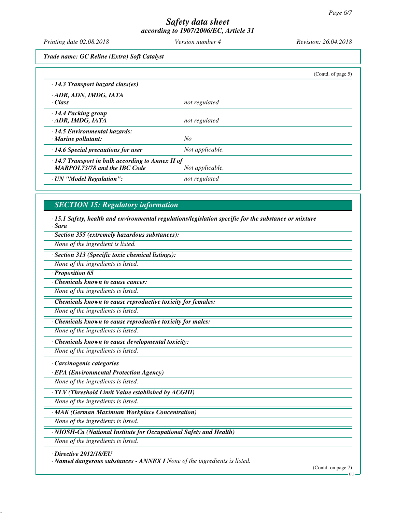*Printing date 02.08.2018 Version number 4 Revision: 26.04.2018*

*Trade name: GC Reline (Extra) Soft Catalyst*

|                                                                                                                   |                 | (Contd. of page $5$ ) |  |  |
|-------------------------------------------------------------------------------------------------------------------|-----------------|-----------------------|--|--|
| $\cdot$ 14.3 Transport hazard class(es)                                                                           |                 |                       |  |  |
| · ADR, ADN, IMDG, IATA<br>· Class                                                                                 | not regulated   |                       |  |  |
| $\cdot$ 14.4 Packing group<br>· ADR, IMDG, IATA                                                                   | not regulated   |                       |  |  |
| 14.5 Environmental hazards:<br>$\cdot$ Marine pollutant:                                                          | No              |                       |  |  |
| $\cdot$ 14.6 Special precautions for user                                                                         | Not applicable. |                       |  |  |
| $\cdot$ 14.7 Transport in bulk according to Annex II of<br><b>MARPOL73/78 and the IBC Code</b><br>Not applicable. |                 |                       |  |  |
| · UN "Model Regulation":                                                                                          | not regulated   |                       |  |  |

# *SECTION 15: Regulatory information*

*· 15.1 Safety, health and environmental regulations/legislation specific for the substance or mixture · Sara*

*· Section 355 (extremely hazardous substances):*

*None of the ingredient is listed.*

*· Section 313 (Specific toxic chemical listings):*

*None of the ingredients is listed.*

*· Proposition 65*

*· Chemicals known to cause cancer:*

*None of the ingredients is listed.*

*· Chemicals known to cause reproductive toxicity for females:*

*None of the ingredients is listed.*

*· Chemicals known to cause reproductive toxicity for males:*

*None of the ingredients is listed.*

*· Chemicals known to cause developmental toxicity:*

*None of the ingredients is listed.*

*· Carcinogenic categories*

*· EPA (Environmental Protection Agency)*

*None of the ingredients is listed.*

*· TLV (Threshold Limit Value established by ACGIH)*

*None of the ingredients is listed.*

*· MAK (German Maximum Workplace Concentration)*

*None of the ingredients is listed.*

*· NIOSH-Ca (National Institute for Occupational Safety and Health)*

*None of the ingredients is listed.*

*· Directive 2012/18/EU*

*· Named dangerous substances - ANNEX I None of the ingredients is listed.*

(Contd. on page 7)

EU